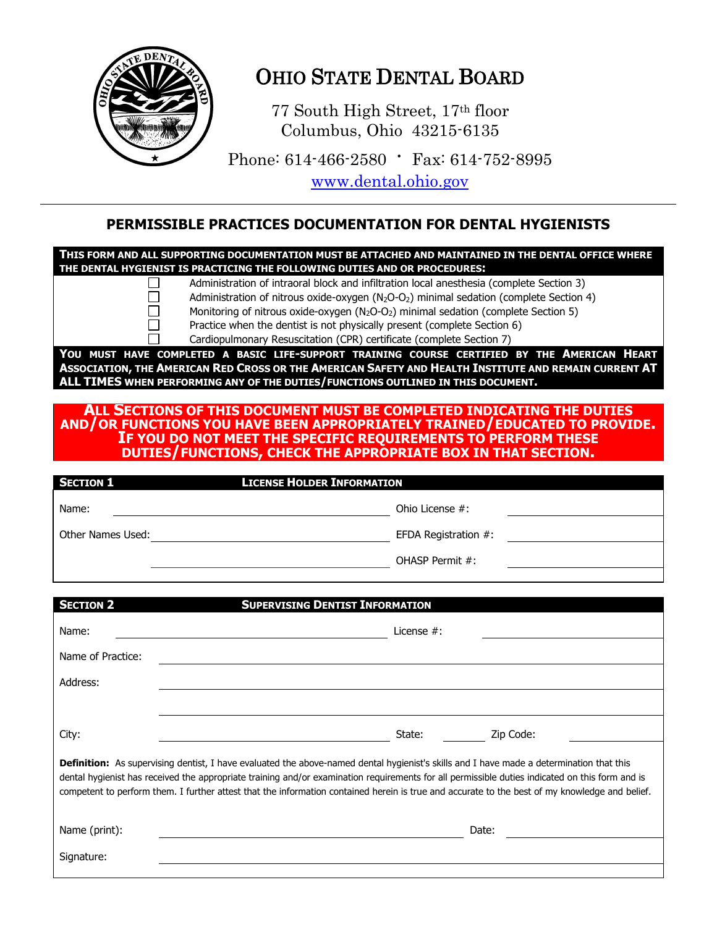

## OHIO STATE DENTAL BOARD

77 South High Street, 17th floor Columbus, Ohio 43215-6135

Phone: 614-466-2580 ∙ Fax: 614-752-8995

[www.dental.ohio.gov](http://www.dental.ohio.gov/)

### **PERMISSIBLE PRACTICES DOCUMENTATION FOR DENTAL HYGIENISTS**

**THIS FORM AND ALL SUPPORTING DOCUMENTATION MUST BE ATTACHED AND MAINTAINED IN THE DENTAL OFFICE WHERE THE DENTAL HYGIENIST IS PRACTICING THE FOLLOWING DUTIES AND OR PROCEDURES:**

> Administration of intraoral block and infiltration local anesthesia (complete Section 3) Administration of nitrous oxide-oxygen  $(N_2O-O_2)$  minimal sedation (complete Section 4)

Monitoring of nitrous oxide-oxygen  $(N_2O-O_2)$  minimal sedation (complete Section 5)

Practice when the dentist is not physically present (complete Section 6)

Cardiopulmonary Resuscitation (CPR) certificate (complete Section 7)

**YOU MUST HAVE COMPLETED A BASIC LIFE-SUPPORT TRAINING COURSE CERTIFIED BY THE AMERICAN HEART**  ASSOCIATION, THE AMERICAN RED CROSS OR THE AMERICAN SAFETY AND HEALTH INSTITUTE AND REMAIN CURRENT AT **ALL TIMES WHEN PERFORMING ANY OF THE DUTIES/FUNCTIONS OUTLINED IN THIS DOCUMENT.**

#### **ALL SECTIONS OF THIS DOCUMENT MUST BE COMPLETED INDICATING THE DUTIES AND/OR FUNCTIONS YOU HAVE BEEN APPROPRIATELY TRAINED/EDUCATED TO PROVIDE. IF YOU DO NOT MEET THE SPECIFIC REQUIREMENTS TO PERFORM THESE DUTIES/FUNCTIONS, CHECK THE APPROPRIATE BOX IN THAT SECTION.**

| <b>SECTION 1</b>  | <b>LICENSE HOLDER INFORMATION</b> |  |
|-------------------|-----------------------------------|--|
| Name:             | Ohio License $#$ :                |  |
| Other Names Used: | EFDA Registration #:              |  |
|                   | OHASP Permit #:                   |  |
|                   |                                   |  |

| <b>SECTION 2</b>                                                                                                                                                                                                                                                                                                                                                                                                                              | <b>SUPERVISING DENTIST INFORMATION</b> |  |  |  |
|-----------------------------------------------------------------------------------------------------------------------------------------------------------------------------------------------------------------------------------------------------------------------------------------------------------------------------------------------------------------------------------------------------------------------------------------------|----------------------------------------|--|--|--|
| Name:                                                                                                                                                                                                                                                                                                                                                                                                                                         | License $#$ :                          |  |  |  |
| Name of Practice:                                                                                                                                                                                                                                                                                                                                                                                                                             |                                        |  |  |  |
| Address:                                                                                                                                                                                                                                                                                                                                                                                                                                      |                                        |  |  |  |
|                                                                                                                                                                                                                                                                                                                                                                                                                                               |                                        |  |  |  |
| City:                                                                                                                                                                                                                                                                                                                                                                                                                                         | State:<br>Zip Code:                    |  |  |  |
| Definition: As supervising dentist, I have evaluated the above-named dental hygienist's skills and I have made a determination that this<br>dental hygienist has received the appropriate training and/or examination requirements for all permissible duties indicated on this form and is<br>competent to perform them. I further attest that the information contained herein is true and accurate to the best of my knowledge and belief. |                                        |  |  |  |
| Name (print):                                                                                                                                                                                                                                                                                                                                                                                                                                 | Date:                                  |  |  |  |
| Signature:                                                                                                                                                                                                                                                                                                                                                                                                                                    |                                        |  |  |  |
|                                                                                                                                                                                                                                                                                                                                                                                                                                               |                                        |  |  |  |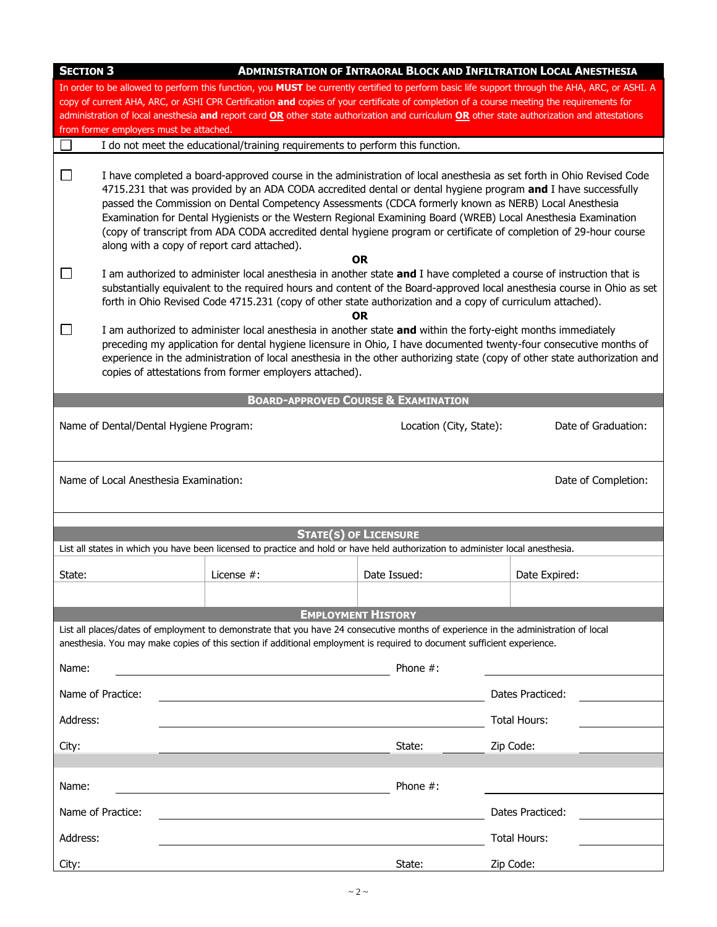| <b>SECTION 3</b>                                                                                                                                                                                                                                                                                                                                                                                                                                                                        |                                                                                                                                                                                                                                                                                                                                                                                                                                                                                                                                                                                                                                      |                                                                                                                                                                                                                                                                | <b>ADMINISTRATION OF INTRAORAL BLOCK AND INFILTRATION LOCAL ANESTHESIA</b> |  |
|-----------------------------------------------------------------------------------------------------------------------------------------------------------------------------------------------------------------------------------------------------------------------------------------------------------------------------------------------------------------------------------------------------------------------------------------------------------------------------------------|--------------------------------------------------------------------------------------------------------------------------------------------------------------------------------------------------------------------------------------------------------------------------------------------------------------------------------------------------------------------------------------------------------------------------------------------------------------------------------------------------------------------------------------------------------------------------------------------------------------------------------------|----------------------------------------------------------------------------------------------------------------------------------------------------------------------------------------------------------------------------------------------------------------|----------------------------------------------------------------------------|--|
| In order to be allowed to perform this function, you MUST be currently certified to perform basic life support through the AHA, ARC, or ASHI. A<br>copy of current AHA, ARC, or ASHI CPR Certification and copies of your certificate of completion of a course meeting the requirements for<br>administration of local anesthesia and report card OR other state authorization and curriculum OR other state authorization and attestations<br>from former employers must be attached. |                                                                                                                                                                                                                                                                                                                                                                                                                                                                                                                                                                                                                                      |                                                                                                                                                                                                                                                                |                                                                            |  |
|                                                                                                                                                                                                                                                                                                                                                                                                                                                                                         |                                                                                                                                                                                                                                                                                                                                                                                                                                                                                                                                                                                                                                      | I do not meet the educational/training requirements to perform this function.                                                                                                                                                                                  |                                                                            |  |
| $\vert \ \ \vert$                                                                                                                                                                                                                                                                                                                                                                                                                                                                       | I have completed a board-approved course in the administration of local anesthesia as set forth in Ohio Revised Code<br>4715.231 that was provided by an ADA CODA accredited dental or dental hygiene program and I have successfully<br>passed the Commission on Dental Competency Assessments (CDCA formerly known as NERB) Local Anesthesia<br>Examination for Dental Hygienists or the Western Regional Examining Board (WREB) Local Anesthesia Examination<br>(copy of transcript from ADA CODA accredited dental hygiene program or certificate of completion of 29-hour course<br>along with a copy of report card attached). |                                                                                                                                                                                                                                                                |                                                                            |  |
| ⊔                                                                                                                                                                                                                                                                                                                                                                                                                                                                                       | OR.<br>I am authorized to administer local anesthesia in another state and I have completed a course of instruction that is<br>substantially equivalent to the required hours and content of the Board-approved local anesthesia course in Ohio as set<br>forth in Ohio Revised Code 4715.231 (copy of other state authorization and a copy of curriculum attached).<br><b>OR</b>                                                                                                                                                                                                                                                    |                                                                                                                                                                                                                                                                |                                                                            |  |
| $\Box$<br>I am authorized to administer local anesthesia in another state and within the forty-eight months immediately<br>preceding my application for dental hygiene licensure in Ohio, I have documented twenty-four consecutive months of<br>experience in the administration of local anesthesia in the other authorizing state (copy of other state authorization and<br>copies of attestations from former employers attached).                                                  |                                                                                                                                                                                                                                                                                                                                                                                                                                                                                                                                                                                                                                      |                                                                                                                                                                                                                                                                |                                                                            |  |
|                                                                                                                                                                                                                                                                                                                                                                                                                                                                                         |                                                                                                                                                                                                                                                                                                                                                                                                                                                                                                                                                                                                                                      | <b>BOARD-APPROVED COURSE &amp; EXAMINATION</b>                                                                                                                                                                                                                 |                                                                            |  |
| Name of Dental/Dental Hygiene Program:<br>Location (City, State):<br>Date of Graduation:                                                                                                                                                                                                                                                                                                                                                                                                |                                                                                                                                                                                                                                                                                                                                                                                                                                                                                                                                                                                                                                      |                                                                                                                                                                                                                                                                |                                                                            |  |
| Name of Local Anesthesia Examination:<br>Date of Completion:                                                                                                                                                                                                                                                                                                                                                                                                                            |                                                                                                                                                                                                                                                                                                                                                                                                                                                                                                                                                                                                                                      |                                                                                                                                                                                                                                                                |                                                                            |  |
|                                                                                                                                                                                                                                                                                                                                                                                                                                                                                         |                                                                                                                                                                                                                                                                                                                                                                                                                                                                                                                                                                                                                                      |                                                                                                                                                                                                                                                                |                                                                            |  |
|                                                                                                                                                                                                                                                                                                                                                                                                                                                                                         |                                                                                                                                                                                                                                                                                                                                                                                                                                                                                                                                                                                                                                      | <b>STATE(S) OF LICENSURE</b><br>List all states in which you have been licensed to practice and hold or have held authorization to administer local anesthesia.                                                                                                |                                                                            |  |
|                                                                                                                                                                                                                                                                                                                                                                                                                                                                                         |                                                                                                                                                                                                                                                                                                                                                                                                                                                                                                                                                                                                                                      |                                                                                                                                                                                                                                                                |                                                                            |  |
| State:                                                                                                                                                                                                                                                                                                                                                                                                                                                                                  | License $#$ :                                                                                                                                                                                                                                                                                                                                                                                                                                                                                                                                                                                                                        | Date Issued:                                                                                                                                                                                                                                                   | Date Expired:                                                              |  |
|                                                                                                                                                                                                                                                                                                                                                                                                                                                                                         |                                                                                                                                                                                                                                                                                                                                                                                                                                                                                                                                                                                                                                      |                                                                                                                                                                                                                                                                |                                                                            |  |
|                                                                                                                                                                                                                                                                                                                                                                                                                                                                                         |                                                                                                                                                                                                                                                                                                                                                                                                                                                                                                                                                                                                                                      | <b>EMPLOYMENT HISTORY</b>                                                                                                                                                                                                                                      |                                                                            |  |
|                                                                                                                                                                                                                                                                                                                                                                                                                                                                                         |                                                                                                                                                                                                                                                                                                                                                                                                                                                                                                                                                                                                                                      | List all places/dates of employment to demonstrate that you have 24 consecutive months of experience in the administration of local<br>anesthesia. You may make copies of this section if additional employment is required to document sufficient experience. |                                                                            |  |
| Name:                                                                                                                                                                                                                                                                                                                                                                                                                                                                                   |                                                                                                                                                                                                                                                                                                                                                                                                                                                                                                                                                                                                                                      | Phone $#$ :                                                                                                                                                                                                                                                    |                                                                            |  |
| Name of Practice:                                                                                                                                                                                                                                                                                                                                                                                                                                                                       |                                                                                                                                                                                                                                                                                                                                                                                                                                                                                                                                                                                                                                      |                                                                                                                                                                                                                                                                | Dates Practiced:                                                           |  |
| Address:                                                                                                                                                                                                                                                                                                                                                                                                                                                                                |                                                                                                                                                                                                                                                                                                                                                                                                                                                                                                                                                                                                                                      |                                                                                                                                                                                                                                                                | Total Hours:                                                               |  |
| City:                                                                                                                                                                                                                                                                                                                                                                                                                                                                                   |                                                                                                                                                                                                                                                                                                                                                                                                                                                                                                                                                                                                                                      | State:                                                                                                                                                                                                                                                         | Zip Code:                                                                  |  |
| Name:                                                                                                                                                                                                                                                                                                                                                                                                                                                                                   |                                                                                                                                                                                                                                                                                                                                                                                                                                                                                                                                                                                                                                      | Phone $#$ :                                                                                                                                                                                                                                                    |                                                                            |  |
| Name of Practice:                                                                                                                                                                                                                                                                                                                                                                                                                                                                       |                                                                                                                                                                                                                                                                                                                                                                                                                                                                                                                                                                                                                                      |                                                                                                                                                                                                                                                                | Dates Practiced:                                                           |  |
| Address:                                                                                                                                                                                                                                                                                                                                                                                                                                                                                |                                                                                                                                                                                                                                                                                                                                                                                                                                                                                                                                                                                                                                      |                                                                                                                                                                                                                                                                | Total Hours:                                                               |  |
| City:                                                                                                                                                                                                                                                                                                                                                                                                                                                                                   |                                                                                                                                                                                                                                                                                                                                                                                                                                                                                                                                                                                                                                      | State:                                                                                                                                                                                                                                                         | Zip Code:                                                                  |  |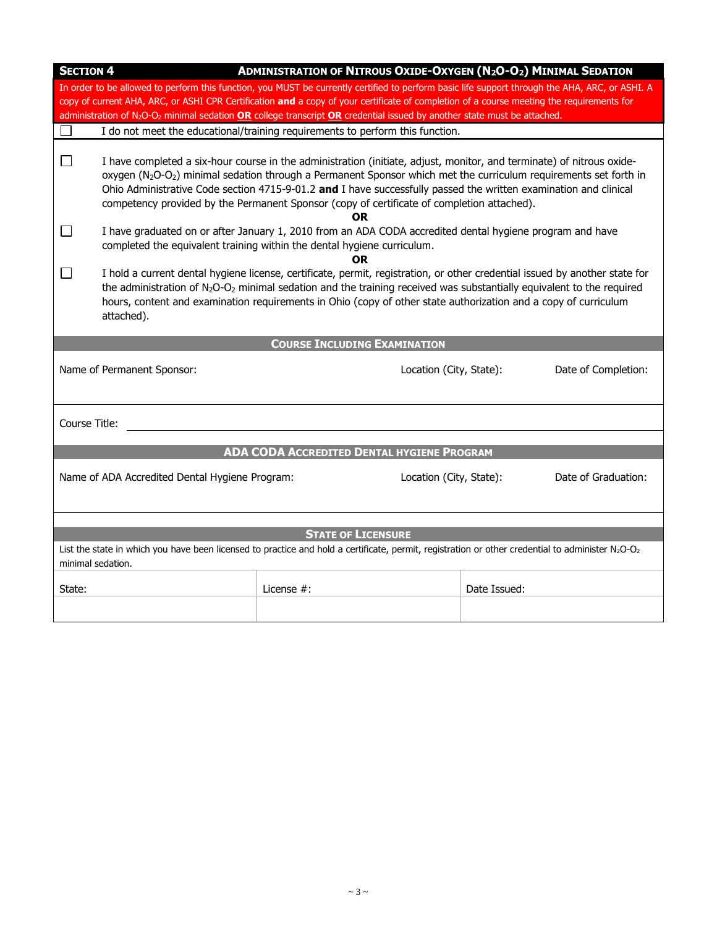| <b>ADMINISTRATION OF NITROUS OXIDE-OXYGEN (N2O-O2) MINIMAL SEDATION</b><br><b>SECTION 4</b> |                                                                                                                                                 |                                                                                                                                                                           |              |                     |  |
|---------------------------------------------------------------------------------------------|-------------------------------------------------------------------------------------------------------------------------------------------------|---------------------------------------------------------------------------------------------------------------------------------------------------------------------------|--------------|---------------------|--|
|                                                                                             | In order to be allowed to perform this function, you MUST be currently certified to perform basic life support through the AHA, ARC, or ASHI. A |                                                                                                                                                                           |              |                     |  |
|                                                                                             | copy of current AHA, ARC, or ASHI CPR Certification and a copy of your certificate of completion of a course meeting the requirements for       |                                                                                                                                                                           |              |                     |  |
|                                                                                             |                                                                                                                                                 | administration of $N_2O-O_2$ minimal sedation <b>OR</b> college transcript <b>OR</b> credential issued by another state must be attached.                                 |              |                     |  |
| $\Box$                                                                                      |                                                                                                                                                 | I do not meet the educational/training requirements to perform this function.                                                                                             |              |                     |  |
|                                                                                             |                                                                                                                                                 |                                                                                                                                                                           |              |                     |  |
| $\Box$                                                                                      |                                                                                                                                                 | I have completed a six-hour course in the administration (initiate, adjust, monitor, and terminate) of nitrous oxide-                                                     |              |                     |  |
|                                                                                             |                                                                                                                                                 | oxygen (N <sub>2</sub> O-O <sub>2</sub> ) minimal sedation through a Permanent Sponsor which met the curriculum requirements set forth in                                 |              |                     |  |
|                                                                                             |                                                                                                                                                 | Ohio Administrative Code section 4715-9-01.2 and I have successfully passed the written examination and clinical                                                          |              |                     |  |
|                                                                                             |                                                                                                                                                 | competency provided by the Permanent Sponsor (copy of certificate of completion attached).                                                                                |              |                     |  |
|                                                                                             |                                                                                                                                                 | 0R                                                                                                                                                                        |              |                     |  |
| ப                                                                                           |                                                                                                                                                 | I have graduated on or after January 1, 2010 from an ADA CODA accredited dental hygiene program and have                                                                  |              |                     |  |
|                                                                                             |                                                                                                                                                 | completed the equivalent training within the dental hygiene curriculum.                                                                                                   |              |                     |  |
|                                                                                             |                                                                                                                                                 | 0R<br>I hold a current dental hygiene license, certificate, permit, registration, or other credential issued by another state for                                         |              |                     |  |
|                                                                                             |                                                                                                                                                 | the administration of N <sub>2</sub> O-O <sub>2</sub> minimal sedation and the training received was substantially equivalent to the required                             |              |                     |  |
|                                                                                             |                                                                                                                                                 | hours, content and examination requirements in Ohio (copy of other state authorization and a copy of curriculum                                                           |              |                     |  |
|                                                                                             | attached).                                                                                                                                      |                                                                                                                                                                           |              |                     |  |
|                                                                                             |                                                                                                                                                 |                                                                                                                                                                           |              |                     |  |
|                                                                                             |                                                                                                                                                 | <b>COURSE INCLUDING EXAMINATION</b>                                                                                                                                       |              |                     |  |
|                                                                                             |                                                                                                                                                 |                                                                                                                                                                           |              |                     |  |
|                                                                                             | Name of Permanent Sponsor:                                                                                                                      | Location (City, State):                                                                                                                                                   |              | Date of Completion: |  |
|                                                                                             |                                                                                                                                                 |                                                                                                                                                                           |              |                     |  |
|                                                                                             |                                                                                                                                                 |                                                                                                                                                                           |              |                     |  |
|                                                                                             |                                                                                                                                                 |                                                                                                                                                                           |              |                     |  |
|                                                                                             | Course Title:                                                                                                                                   |                                                                                                                                                                           |              |                     |  |
|                                                                                             |                                                                                                                                                 |                                                                                                                                                                           |              |                     |  |
|                                                                                             |                                                                                                                                                 |                                                                                                                                                                           |              |                     |  |
|                                                                                             |                                                                                                                                                 | <b>ADA CODA ACCREDITED DENTAL HYGIENE PROGRAM</b>                                                                                                                         |              |                     |  |
|                                                                                             | Name of ADA Accredited Dental Hygiene Program:                                                                                                  | Location (City, State):                                                                                                                                                   |              | Date of Graduation: |  |
|                                                                                             |                                                                                                                                                 |                                                                                                                                                                           |              |                     |  |
|                                                                                             |                                                                                                                                                 |                                                                                                                                                                           |              |                     |  |
|                                                                                             |                                                                                                                                                 |                                                                                                                                                                           |              |                     |  |
|                                                                                             |                                                                                                                                                 | <b>STATE OF LICENSURE</b>                                                                                                                                                 |              |                     |  |
|                                                                                             |                                                                                                                                                 | List the state in which you have been licensed to practice and hold a certificate, permit, registration or other credential to administer N <sub>2</sub> O-O <sub>2</sub> |              |                     |  |
|                                                                                             | minimal sedation.                                                                                                                               |                                                                                                                                                                           |              |                     |  |
|                                                                                             |                                                                                                                                                 |                                                                                                                                                                           |              |                     |  |
| State:                                                                                      |                                                                                                                                                 | License #:                                                                                                                                                                | Date Issued: |                     |  |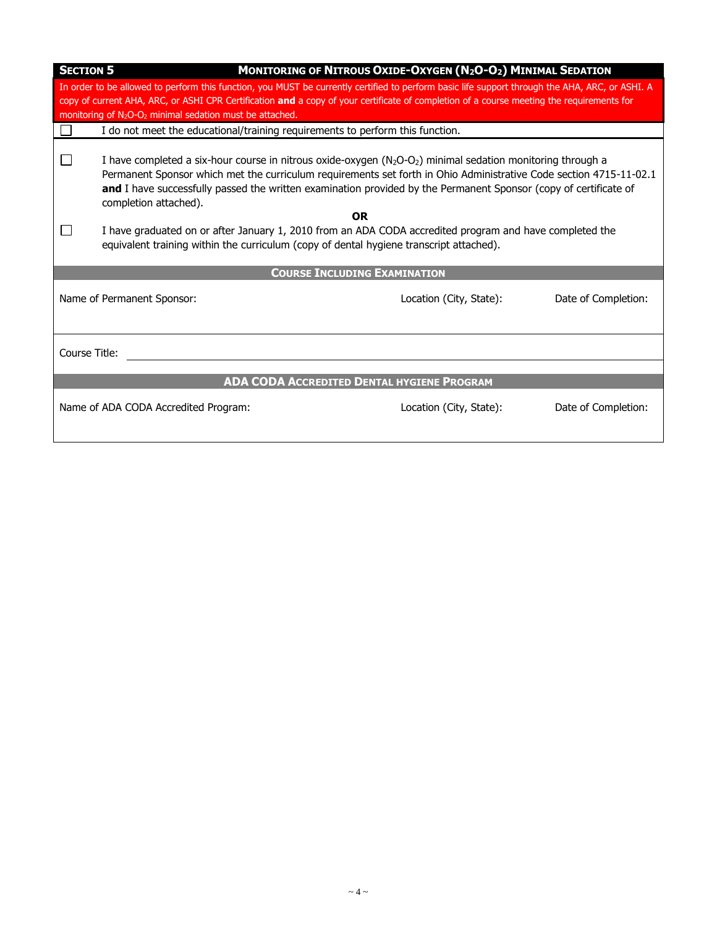| <b>SECTION 5</b>                                                                                                                                                                                                                                                                                                                                                                 |                                                                                                                                                                                                                                                                                                                                                                                                                                                                                                          | MONITORING OF NITROUS OXIDE-OXYGEN (N2O-O2) MINIMAL SEDATION                            |                     |  |
|----------------------------------------------------------------------------------------------------------------------------------------------------------------------------------------------------------------------------------------------------------------------------------------------------------------------------------------------------------------------------------|----------------------------------------------------------------------------------------------------------------------------------------------------------------------------------------------------------------------------------------------------------------------------------------------------------------------------------------------------------------------------------------------------------------------------------------------------------------------------------------------------------|-----------------------------------------------------------------------------------------|---------------------|--|
| In order to be allowed to perform this function, you MUST be currently certified to perform basic life support through the AHA, ARC, or ASHI. A<br>copy of current AHA, ARC, or ASHI CPR Certification and a copy of your certificate of completion of a course meeting the requirements for<br>monitoring of N <sub>2</sub> O-O <sub>2</sub> minimal sedation must be attached. |                                                                                                                                                                                                                                                                                                                                                                                                                                                                                                          |                                                                                         |                     |  |
|                                                                                                                                                                                                                                                                                                                                                                                  | I do not meet the educational/training requirements to perform this function.                                                                                                                                                                                                                                                                                                                                                                                                                            |                                                                                         |                     |  |
|                                                                                                                                                                                                                                                                                                                                                                                  | I have completed a six-hour course in nitrous oxide-oxygen $(N_2O-O_2)$ minimal sedation monitoring through a<br>Permanent Sponsor which met the curriculum requirements set forth in Ohio Administrative Code section 4715-11-02.1<br>and I have successfully passed the written examination provided by the Permanent Sponsor (copy of certificate of<br>completion attached).<br><b>OR</b><br>I have graduated on or after January 1, 2010 from an ADA CODA accredited program and have completed the |                                                                                         |                     |  |
|                                                                                                                                                                                                                                                                                                                                                                                  |                                                                                                                                                                                                                                                                                                                                                                                                                                                                                                          | equivalent training within the curriculum (copy of dental hygiene transcript attached). |                     |  |
| <b>COURSE INCLUDING EXAMINATION</b>                                                                                                                                                                                                                                                                                                                                              |                                                                                                                                                                                                                                                                                                                                                                                                                                                                                                          |                                                                                         |                     |  |
|                                                                                                                                                                                                                                                                                                                                                                                  | Name of Permanent Sponsor:                                                                                                                                                                                                                                                                                                                                                                                                                                                                               | Location (City, State):                                                                 | Date of Completion: |  |
| Course Title:                                                                                                                                                                                                                                                                                                                                                                    |                                                                                                                                                                                                                                                                                                                                                                                                                                                                                                          |                                                                                         |                     |  |
| <b>ADA CODA ACCREDITED DENTAL HYGIENE PROGRAM</b>                                                                                                                                                                                                                                                                                                                                |                                                                                                                                                                                                                                                                                                                                                                                                                                                                                                          |                                                                                         |                     |  |
|                                                                                                                                                                                                                                                                                                                                                                                  | Name of ADA CODA Accredited Program:                                                                                                                                                                                                                                                                                                                                                                                                                                                                     | Location (City, State):                                                                 | Date of Completion: |  |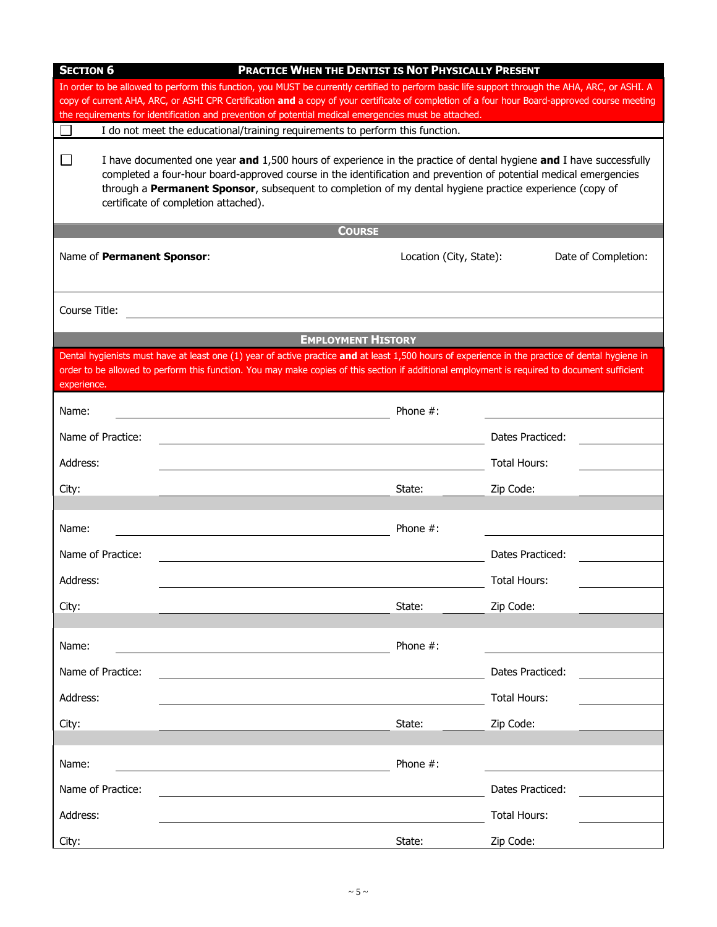| <b>SECTION 6</b><br><b>PRACTICE WHEN THE DENTIST IS NOT PHYSICALLY PRESENT</b>                                                                                                                                                                                                                                                                                                                       |                                                                                                                                                  |             |                     |  |
|------------------------------------------------------------------------------------------------------------------------------------------------------------------------------------------------------------------------------------------------------------------------------------------------------------------------------------------------------------------------------------------------------|--------------------------------------------------------------------------------------------------------------------------------------------------|-------------|---------------------|--|
| In order to be allowed to perform this function, you MUST be currently certified to perform basic life support through the AHA, ARC, or ASHI. A                                                                                                                                                                                                                                                      |                                                                                                                                                  |             |                     |  |
| copy of current AHA, ARC, or ASHI CPR Certification and a copy of your certificate of completion of a four hour Board-approved course meeting<br>the requirements for identification and prevention of potential medical emergencies must be attached.                                                                                                                                               |                                                                                                                                                  |             |                     |  |
| I do not meet the educational/training requirements to perform this function.                                                                                                                                                                                                                                                                                                                        |                                                                                                                                                  |             |                     |  |
| I have documented one year and 1,500 hours of experience in the practice of dental hygiene and I have successfully<br>$\Box$<br>completed a four-hour board-approved course in the identification and prevention of potential medical emergencies<br>through a Permanent Sponsor, subsequent to completion of my dental hygiene practice experience (copy of<br>certificate of completion attached). |                                                                                                                                                  |             |                     |  |
|                                                                                                                                                                                                                                                                                                                                                                                                      | <b>COURSE</b>                                                                                                                                    |             |                     |  |
| Name of Permanent Sponsor:<br>Location (City, State):<br>Date of Completion:                                                                                                                                                                                                                                                                                                                         |                                                                                                                                                  |             |                     |  |
| Course Title:                                                                                                                                                                                                                                                                                                                                                                                        |                                                                                                                                                  |             |                     |  |
|                                                                                                                                                                                                                                                                                                                                                                                                      | <b>EMPLOYMENT HISTORY</b>                                                                                                                        |             |                     |  |
|                                                                                                                                                                                                                                                                                                                                                                                                      | Dental hygienists must have at least one (1) year of active practice and at least 1,500 hours of experience in the practice of dental hygiene in |             |                     |  |
| experience.                                                                                                                                                                                                                                                                                                                                                                                          | order to be allowed to perform this function. You may make copies of this section if additional employment is required to document sufficient    |             |                     |  |
| Name:                                                                                                                                                                                                                                                                                                                                                                                                |                                                                                                                                                  | Phone $#$ : |                     |  |
| Name of Practice:                                                                                                                                                                                                                                                                                                                                                                                    |                                                                                                                                                  |             | Dates Practiced:    |  |
| Address:                                                                                                                                                                                                                                                                                                                                                                                             |                                                                                                                                                  |             | Total Hours:        |  |
| City:                                                                                                                                                                                                                                                                                                                                                                                                |                                                                                                                                                  | State:      | Zip Code:           |  |
|                                                                                                                                                                                                                                                                                                                                                                                                      |                                                                                                                                                  |             |                     |  |
| Name:                                                                                                                                                                                                                                                                                                                                                                                                |                                                                                                                                                  | Phone $#$ : |                     |  |
| Name of Practice:                                                                                                                                                                                                                                                                                                                                                                                    |                                                                                                                                                  |             | Dates Practiced:    |  |
| Address:                                                                                                                                                                                                                                                                                                                                                                                             |                                                                                                                                                  |             | <b>Total Hours:</b> |  |
| City:                                                                                                                                                                                                                                                                                                                                                                                                |                                                                                                                                                  | State:      | Zip Code:           |  |
| Name:                                                                                                                                                                                                                                                                                                                                                                                                |                                                                                                                                                  | Phone $#$ : |                     |  |
| Name of Practice:                                                                                                                                                                                                                                                                                                                                                                                    |                                                                                                                                                  |             | Dates Practiced:    |  |
| Address:                                                                                                                                                                                                                                                                                                                                                                                             |                                                                                                                                                  |             | Total Hours:        |  |
| City:                                                                                                                                                                                                                                                                                                                                                                                                |                                                                                                                                                  | State:      | Zip Code:           |  |
|                                                                                                                                                                                                                                                                                                                                                                                                      |                                                                                                                                                  |             |                     |  |
| Name:                                                                                                                                                                                                                                                                                                                                                                                                |                                                                                                                                                  | Phone $#$ : |                     |  |
| Name of Practice:                                                                                                                                                                                                                                                                                                                                                                                    |                                                                                                                                                  |             | Dates Practiced:    |  |
| Address:                                                                                                                                                                                                                                                                                                                                                                                             |                                                                                                                                                  |             | Total Hours:        |  |
| City:                                                                                                                                                                                                                                                                                                                                                                                                |                                                                                                                                                  | State:      | Zip Code:           |  |